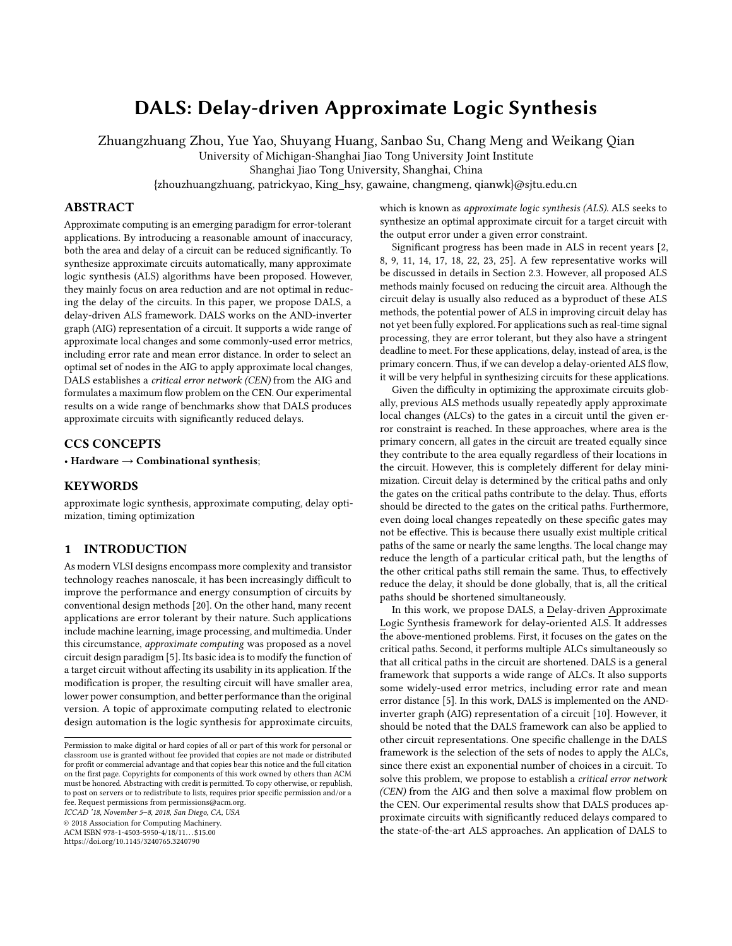# DALS: Delay-driven Approximate Logic Synthesis

Zhuangzhuang Zhou, Yue Yao, Shuyang Huang, Sanbao Su, Chang Meng and Weikang Qian

University of Michigan-Shanghai Jiao Tong University Joint Institute

Shanghai Jiao Tong University, Shanghai, China

{zhouzhuangzhuang, patrickyao, King\_hsy, gawaine, changmeng, qianwk}@sjtu.edu.cn

#### ABSTRACT

Approximate computing is an emerging paradigm for error-tolerant applications. By introducing a reasonable amount of inaccuracy, both the area and delay of a circuit can be reduced significantly. To synthesize approximate circuits automatically, many approximate logic synthesis (ALS) algorithms have been proposed. However, they mainly focus on area reduction and are not optimal in reducing the delay of the circuits. In this paper, we propose DALS, a delay-driven ALS framework. DALS works on the AND-inverter graph (AIG) representation of a circuit. It supports a wide range of approximate local changes and some commonly-used error metrics, including error rate and mean error distance. In order to select an optimal set of nodes in the AIG to apply approximate local changes, DALS establishes a critical error network (CEN) from the AIG and formulates a maximum flow problem on the CEN. Our experimental results on a wide range of benchmarks show that DALS produces approximate circuits with significantly reduced delays.

#### CCS CONCEPTS

• Hardware  $\rightarrow$  Combinational synthesis;

# **KEYWORDS**

approximate logic synthesis, approximate computing, delay optimization, timing optimization

# 1 INTRODUCTION

As modern VLSI designs encompass more complexity and transistor technology reaches nanoscale, it has been increasingly difficult to improve the performance and energy consumption of circuits by conventional design methods [20]. On the other hand, many recent applications are error tolerant by their nature. Such applications include machine learning, image processing, and multimedia. Under this circumstance, approximate computing was proposed as a novel circuit design paradigm [5]. Its basic idea is to modify the function of a target circuit without affecting its usability in its application. If the modification is proper, the resulting circuit will have smaller area, lower power consumption, and better performance than the original version. A topic of approximate computing related to electronic design automation is the logic synthesis for approximate circuits,

ICCAD '18, November 5–8, 2018, San Diego, CA, USA

© 2018 Association for Computing Machinery.

ACM ISBN 978-1-4503-5950-4/18/11...\$15.00 https://doi.org/10.1145/3240765.3240790

which is known as approximate logic synthesis (ALS). ALS seeks to synthesize an optimal approximate circuit for a target circuit with the output error under a given error constraint.

Significant progress has been made in ALS in recent years [2, 8, 9, 11, 14, 17, 18, 22, 23, 25]. A few representative works will be discussed in details in Section 2.3. However, all proposed ALS methods mainly focused on reducing the circuit area. Although the circuit delay is usually also reduced as a byproduct of these ALS methods, the potential power of ALS in improving circuit delay has not yet been fully explored. For applications such as real-time signal processing, they are error tolerant, but they also have a stringent deadline to meet. For these applications, delay, instead of area, is the primary concern. Thus, if we can develop a delay-oriented ALS flow, it will be very helpful in synthesizing circuits for these applications.

Given the difficulty in optimizing the approximate circuits globally, previous ALS methods usually repeatedly apply approximate local changes (ALCs) to the gates in a circuit until the given error constraint is reached. In these approaches, where area is the primary concern, all gates in the circuit are treated equally since they contribute to the area equally regardless of their locations in the circuit. However, this is completely different for delay minimization. Circuit delay is determined by the critical paths and only the gates on the critical paths contribute to the delay. Thus, efforts should be directed to the gates on the critical paths. Furthermore, even doing local changes repeatedly on these specific gates may not be effective. This is because there usually exist multiple critical paths of the same or nearly the same lengths. The local change may reduce the length of a particular critical path, but the lengths of the other critical paths still remain the same. Thus, to effectively reduce the delay, it should be done globally, that is, all the critical paths should be shortened simultaneously.

In this work, we propose DALS, a Delay-driven Approximate Logic Synthesis framework for delay-oriented ALS. It addresses the above-mentioned problems. First, it focuses on the gates on the critical paths. Second, it performs multiple ALCs simultaneously so that all critical paths in the circuit are shortened. DALS is a general framework that supports a wide range of ALCs. It also supports some widely-used error metrics, including error rate and mean error distance [5]. In this work, DALS is implemented on the ANDinverter graph (AIG) representation of a circuit [10]. However, it should be noted that the DALS framework can also be applied to other circuit representations. One specific challenge in the DALS framework is the selection of the sets of nodes to apply the ALCs, since there exist an exponential number of choices in a circuit. To solve this problem, we propose to establish a critical error network (CEN) from the AIG and then solve a maximal flow problem on the CEN. Our experimental results show that DALS produces approximate circuits with significantly reduced delays compared to the state-of-the-art ALS approaches. An application of DALS to

Permission to make digital or hard copies of all or part of this work for personal or classroom use is granted without fee provided that copies are not made or distributed for profit or commercial advantage and that copies bear this notice and the full citation on the first page. Copyrights for components of this work owned by others than ACM must be honored. Abstracting with credit is permitted. To copy otherwise, or republish, to post on servers or to redistribute to lists, requires prior specific permission and/or a fee. Request permissions from permissions@acm.org.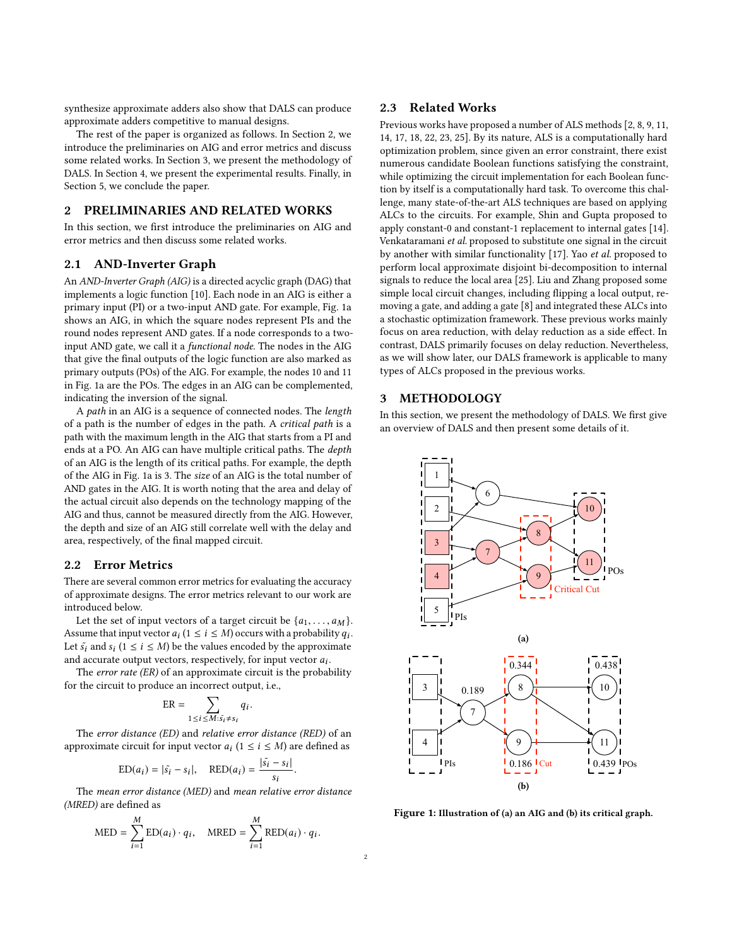synthesize approximate adders also show that DALS can produce approximate adders competitive to manual designs.

The rest of the paper is organized as follows. In Section 2, we introduce the preliminaries on AIG and error metrics and discuss some related works. In Section 3, we present the methodology of DALS. In Section 4, we present the experimental results. Finally, in Section 5, we conclude the paper.

# 2 PRELIMINARIES AND RELATED WORKS

In this section, we first introduce the preliminaries on AIG and error metrics and then discuss some related works.

### 2.1 AND-Inverter Graph

An AND-Inverter Graph (AIG) is a directed acyclic graph (DAG) that implements a logic function [10]. Each node in an AIG is either a primary input (PI) or a two-input AND gate. For example, Fig. 1a shows an AIG, in which the square nodes represent PIs and the round nodes represent AND gates. If a node corresponds to a twoinput AND gate, we call it a functional node. The nodes in the AIG that give the final outputs of the logic function are also marked as primary outputs (POs) of the AIG. For example, the nodes 10 and 11 in Fig. 1a are the POs. The edges in an AIG can be complemented, indicating the inversion of the signal.

A path in an AIG is a sequence of connected nodes. The length of a path is the number of edges in the path. A critical path is a path with the maximum length in the AIG that starts from a PI and ends at a PO. An AIG can have multiple critical paths. The depth of an AIG is the length of its critical paths. For example, the depth of the AIG in Fig. 1a is 3. The size of an AIG is the total number of AND gates in the AIG. It is worth noting that the area and delay of the actual circuit also depends on the technology mapping of the AIG and thus, cannot be measured directly from the AIG. However, the depth and size of an AIG still correlate well with the delay and area, respectively, of the final mapped circuit.

## 2.2 Error Metrics

There are several common error metrics for evaluating the accuracy of approximate designs. The error metrics relevant to our work are introduced below.

Let the set of input vectors of a target circuit be  $\{a_1, \ldots, a_M\}$ . Assume that input vector  $a_i$  ( $1 \le i \le M$ ) occurs with a probability  $q_i$ .<br>Let  $\tilde{c}_i$  and  $s_i$  ( $1 \le i \le M$ ) be the values encoded by the approximate Let  $\tilde{s_i}$  and  $s_i$  (1  $\le i \le M$ ) be the values encoded by the approximate<br>and accurate output vectors, respectively for input vector a. and accurate output vectors, respectively, for input vector  $a_i$ .<br>The error rate (EP) of an approximate circuit is the probability

The error rate  $(ER)$  of an approximate circuit is the probability for the circuit to produce an incorrect output, i.e.,

$$
ER = \sum_{1 \le i \le M: \tilde{s}_i \neq s_i} q_i.
$$

The error distance (ED) and relative error distance (RED) of an approximate circuit for input vector  $a_i$  ( $1 \le i \le M$ ) are defined as

$$
ED(a_i) = |\tilde{s_i} - s_i|, \quad \text{RED}(a_i) = \frac{|\tilde{s_i} - s_i|}{s_i}.
$$

The *mean error distance (MED)* and *mean relative error distance* (MRED) are defined as

$$
MED = \sum_{i=1}^{M} ED(a_i) \cdot q_i, \quad MRED = \sum_{i=1}^{M} RED(a_i) \cdot q_i.
$$

#### 2.3 Related Works

Previous works have proposed a number of ALS methods [2, 8, 9, 11, 14, 17, 18, 22, 23, 25]. By its nature, ALS is a computationally hard optimization problem, since given an error constraint, there exist numerous candidate Boolean functions satisfying the constraint, while optimizing the circuit implementation for each Boolean function by itself is a computationally hard task. To overcome this challenge, many state-of-the-art ALS techniques are based on applying ALCs to the circuits. For example, Shin and Gupta proposed to apply constant-0 and constant-1 replacement to internal gates [14]. Venkataramani et al. proposed to substitute one signal in the circuit by another with similar functionality [17]. Yao et al. proposed to perform local approximate disjoint bi-decomposition to internal signals to reduce the local area [25]. Liu and Zhang proposed some simple local circuit changes, including flipping a local output, removing a gate, and adding a gate [8] and integrated these ALCs into a stochastic optimization framework. These previous works mainly focus on area reduction, with delay reduction as a side effect. In contrast, DALS primarily focuses on delay reduction. Nevertheless, as we will show later, our DALS framework is applicable to many types of ALCs proposed in the previous works.

#### 3 METHODOLOGY

In this section, we present the methodology of DALS. We first give an overview of DALS and then present some details of it.



Figure 1: Illustration of (a) an AIG and (b) its critical graph.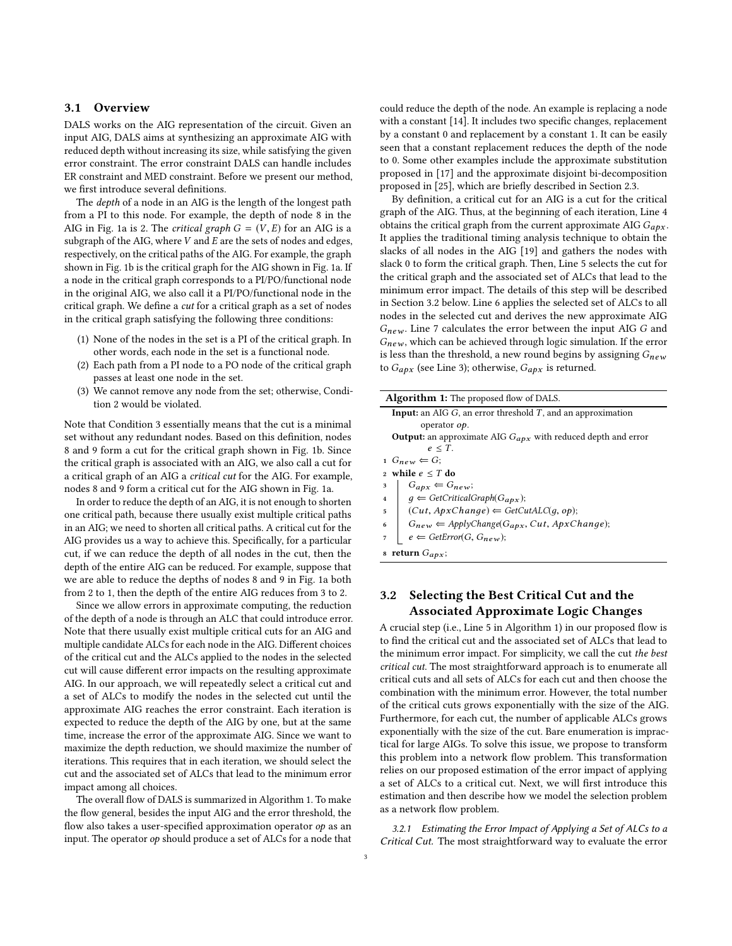#### 3.1 Overview

DALS works on the AIG representation of the circuit. Given an input AIG, DALS aims at synthesizing an approximate AIG with reduced depth without increasing its size, while satisfying the given error constraint. The error constraint DALS can handle includes ER constraint and MED constraint. Before we present our method, we first introduce several definitions.

The *depth* of a node in an AIG is the length of the longest path from a PI to this node. For example, the depth of node 8 in the AIG in Fig. 1a is 2. The *critical graph*  $G = (V, E)$  for an AIG is a subgraph of the AIG, where  $V$  and  $E$  are the sets of nodes and edges, respectively, on the critical paths of the AIG. For example, the graph shown in Fig. 1b is the critical graph for the AIG shown in Fig. 1a. If a node in the critical graph corresponds to a PI/PO/functional node in the original AIG, we also call it a PI/PO/functional node in the critical graph. We define a cut for a critical graph as a set of nodes in the critical graph satisfying the following three conditions:

- (1) None of the nodes in the set is a PI of the critical graph. In other words, each node in the set is a functional node.
- (2) Each path from a PI node to a PO node of the critical graph passes at least one node in the set.
- (3) We cannot remove any node from the set; otherwise, Condition 2 would be violated.

Note that Condition 3 essentially means that the cut is a minimal set without any redundant nodes. Based on this definition, nodes 8 and 9 form a cut for the critical graph shown in Fig. 1b. Since the critical graph is associated with an AIG, we also call a cut for a critical graph of an AIG a critical cut for the AIG. For example, nodes 8 and 9 form a critical cut for the AIG shown in Fig. 1a.

In order to reduce the depth of an AIG, it is not enough to shorten one critical path, because there usually exist multiple critical paths in an AIG; we need to shorten all critical paths. A critical cut for the AIG provides us a way to achieve this. Specifically, for a particular cut, if we can reduce the depth of all nodes in the cut, then the depth of the entire AIG can be reduced. For example, suppose that we are able to reduce the depths of nodes 8 and 9 in Fig. 1a both from 2 to 1, then the depth of the entire AIG reduces from 3 to 2.

Since we allow errors in approximate computing, the reduction of the depth of a node is through an ALC that could introduce error. Note that there usually exist multiple critical cuts for an AIG and multiple candidate ALCs for each node in the AIG. Different choices of the critical cut and the ALCs applied to the nodes in the selected cut will cause different error impacts on the resulting approximate AIG. In our approach, we will repeatedly select a critical cut and a set of ALCs to modify the nodes in the selected cut until the approximate AIG reaches the error constraint. Each iteration is expected to reduce the depth of the AIG by one, but at the same time, increase the error of the approximate AIG. Since we want to maximize the depth reduction, we should maximize the number of iterations. This requires that in each iteration, we should select the cut and the associated set of ALCs that lead to the minimum error impact among all choices.

The overall flow of DALS is summarized in Algorithm 1. To make the flow general, besides the input AIG and the error threshold, the flow also takes a user-specified approximation operator op as an input. The operator op should produce a set of ALCs for a node that could reduce the depth of the node. An example is replacing a node with a constant [14]. It includes two specific changes, replacement by a constant 0 and replacement by a constant 1. It can be easily seen that a constant replacement reduces the depth of the node to 0. Some other examples include the approximate substitution proposed in [17] and the approximate disjoint bi-decomposition proposed in [25], which are briefly described in Section 2.3.

By definition, a critical cut for an AIG is a cut for the critical graph of the AIG. Thus, at the beginning of each iteration, Line 4 obtains the critical graph from the current approximate AIG  $G_{a\alpha x}$ . It applies the traditional timing analysis technique to obtain the slacks of all nodes in the AIG [19] and gathers the nodes with slack 0 to form the critical graph. Then, Line 5 selects the cut for the critical graph and the associated set of ALCs that lead to the minimum error impact. The details of this step will be described in Section 3.2 below. Line 6 applies the selected set of ALCs to all nodes in the selected cut and derives the new approximate AIG  $G_{new}$ . Line 7 calculates the error between the input AIG G and  $G_{new}$ , which can be achieved through logic simulation. If the error is less than the threshold, a new round begins by assigning  $G_{new}$ to  $G_{apx}$  (see Line 3); otherwise,  $G_{apx}$  is returned.

| <b>Algorithm 1:</b> The proposed flow of DALS.                              |
|-----------------------------------------------------------------------------|
| <b>Input:</b> an AIG $G$ , an error threshold $T$ , and an approximation    |
| operator <i>op</i> .                                                        |
| <b>Output:</b> an approximate AIG $G_{apx}$ with reduced depth and error    |
| $e \leq T$ .                                                                |
| $1\ G_{new} \Leftarrow G$                                                   |
| while $e \leq T$ do<br>$\overline{2}$                                       |
| $G_{apx} \leftarrow G_{new};$<br>3                                          |
| $g \leftarrow \text{GetCriticalGraph}(G_{apx});$<br>$\overline{\mathbf{4}}$ |
| $(Cut, ApxChange) \leftarrow GetCutALC(q, op);$<br>5                        |
| $G_{new} \leftarrow Apply Change(G_{apx}, Cut, ApxChange);$<br>6            |
| $e \leftarrow GetError(G, G_{new});$<br>7                                   |
| s return $G_{a\alpha x}$ ;                                                  |
|                                                                             |

# 3.2 Selecting the Best Critical Cut and the Associated Approximate Logic Changes

A crucial step (i.e., Line 5 in Algorithm 1) in our proposed flow is to find the critical cut and the associated set of ALCs that lead to the minimum error impact. For simplicity, we call the cut the best critical cut. The most straightforward approach is to enumerate all critical cuts and all sets of ALCs for each cut and then choose the combination with the minimum error. However, the total number of the critical cuts grows exponentially with the size of the AIG. Furthermore, for each cut, the number of applicable ALCs grows exponentially with the size of the cut. Bare enumeration is impractical for large AIGs. To solve this issue, we propose to transform this problem into a network flow problem. This transformation relies on our proposed estimation of the error impact of applying a set of ALCs to a critical cut. Next, we will first introduce this estimation and then describe how we model the selection problem as a network flow problem.

3.2.1 Estimating the Error Impact of Applying a Set of ALCs to a Critical Cut. The most straightforward way to evaluate the error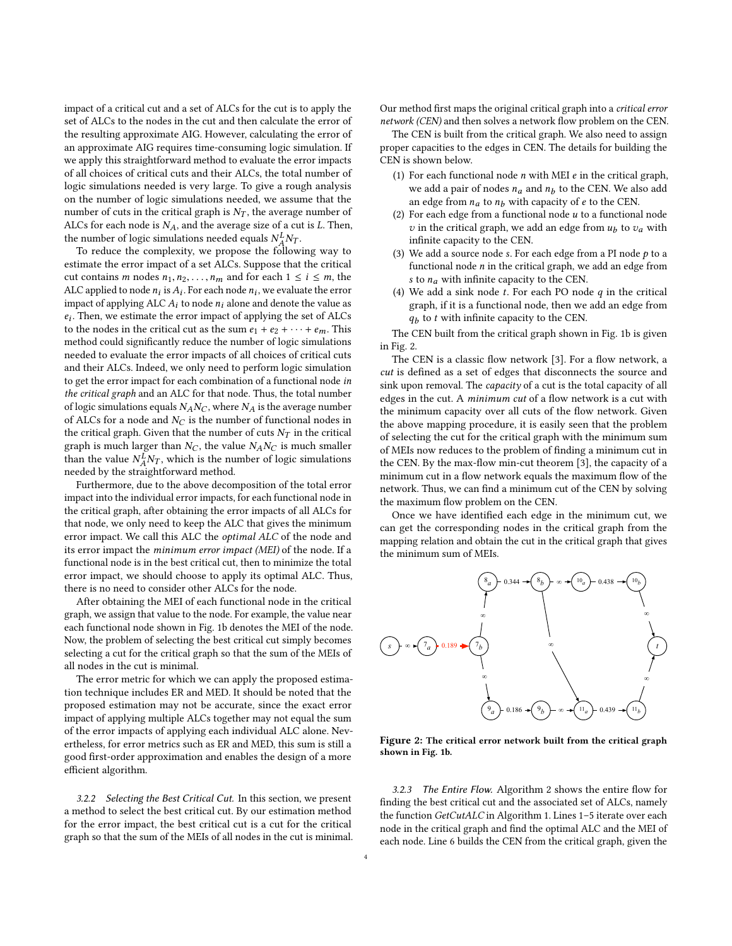impact of a critical cut and a set of ALCs for the cut is to apply the set of ALCs to the nodes in the cut and then calculate the error of the resulting approximate AIG. However, calculating the error of an approximate AIG requires time-consuming logic simulation. If we apply this straightforward method to evaluate the error impacts of all choices of critical cuts and their ALCs, the total number of logic simulations needed is very large. To give a rough analysis on the number of logic simulations needed, we assume that the number of cuts in the critical graph is  $N_T$ , the average number of ALCs for each node is  $N_A$ , and the average size of a cut is  $L$ . Then, the number of logic simulations needed equals  $N_A^L N_T$ .<br>To reduce the complexity, we propose the follow

To reduce the complexity, we propose the following way to estimate the error impact of a set ALCs. Suppose that the critical cut contains *m* nodes  $n_1, n_2, \ldots, n_m$  and for each  $1 \le i \le m$ , the ALC applied to node  $n_i$  is  $A_i$ . For each node  $n_i$ , we evaluate the error impact of applying ALC  $A_i$  to node  $n_i$  alone and denote the value as impact of applying ALC  $A_i$  to node  $n_i$  alone and denote the value as to the nodes in the critical cut as the sum  $e_1 + e_2 + \cdots + e_m$ . This method could significantly reduce the number of logic simulations  $e_i$ . Then, we estimate the error impact of applying the set of ALCs method could significantly reduce the number of logic simulations needed to evaluate the error impacts of all choices of critical cuts and their ALCs. Indeed, we only need to perform logic simulation to get the error impact for each combination of a functional node in the critical graph and an ALC for that node. Thus, the total number of logic simulations equals  $N_{\!A}N_{\!C}$  , where  $N_{\!A}$  is the average number of ALCs for a node and  $N_C$  is the number of functional nodes in the critical graph. Given that the number of cuts  $N_T$  in the critical graph is much larger than  $N_C$ , the value  $N_A N_C$  is much smaller than the value  $N_A^L N_T$ , which is the number of logic simulations<br>needed by the straightforward method needed by the straightforward method.

Furthermore, due to the above decomposition of the total error impact into the individual error impacts, for each functional node in the critical graph, after obtaining the error impacts of all ALCs for that node, we only need to keep the ALC that gives the minimum error impact. We call this ALC the optimal ALC of the node and its error impact the minimum error impact (MEI) of the node. If a functional node is in the best critical cut, then to minimize the total error impact, we should choose to apply its optimal ALC. Thus, there is no need to consider other ALCs for the node.

After obtaining the MEI of each functional node in the critical graph, we assign that value to the node. For example, the value near each functional node shown in Fig. 1b denotes the MEI of the node. Now, the problem of selecting the best critical cut simply becomes selecting a cut for the critical graph so that the sum of the MEIs of all nodes in the cut is minimal.

The error metric for which we can apply the proposed estimation technique includes ER and MED. It should be noted that the proposed estimation may not be accurate, since the exact error impact of applying multiple ALCs together may not equal the sum of the error impacts of applying each individual ALC alone. Nevertheless, for error metrics such as ER and MED, this sum is still a good first-order approximation and enables the design of a more efficient algorithm.

3.2.2 Selecting the Best Critical Cut. In this section, we present a method to select the best critical cut. By our estimation method for the error impact, the best critical cut is a cut for the critical graph so that the sum of the MEIs of all nodes in the cut is minimal. Our method first maps the original critical graph into a critical error network (CEN) and then solves a network flow problem on the CEN.

The CEN is built from the critical graph. We also need to assign proper capacities to the edges in CEN. The details for building the CEN is shown below.

- (1) For each functional node  $n$  with MEI  $e$  in the critical graph, we add a pair of nodes  $n_a$  and  $n_b$  to the CEN. We also add<br>an edge from  $n_b$  to  $n_b$  with canacity of e to the CEN an edge from  $n_a$  to  $n_b$  with capacity of  $e$  to the CEN.
- (2) For each edge from a functional node  $u$  to a functional node *v* in the critical graph, we add an edge from  $u_b$  to  $v_a$  with infinite canacity to the CFN infinite capacity to the CEN.
- (3) We add a source node s. For each edge from a PI node  $p$  to a functional node  $n$  in the critical graph, we add an edge from s to  $n_a$  with infinite capacity to the CEN.
- (4) We add a sink node  $t$ . For each PO node  $q$  in the critical graph, if it is a functional node, then we add an edge from  $q<sub>b</sub>$  to t with infinite capacity to the CEN.

The CEN built from the critical graph shown in Fig. 1b is given in Fig. 2.

The CEN is a classic flow network [3]. For a flow network, a cut is defined as a set of edges that disconnects the source and sink upon removal. The capacity of a cut is the total capacity of all edges in the cut. A minimum cut of a flow network is a cut with the minimum capacity over all cuts of the flow network. Given the above mapping procedure, it is easily seen that the problem of selecting the cut for the critical graph with the minimum sum of MEIs now reduces to the problem of finding a minimum cut in the CEN. By the max-flow min-cut theorem [3], the capacity of a minimum cut in a flow network equals the maximum flow of the network. Thus, we can find a minimum cut of the CEN by solving the maximum flow problem on the CEN.

Once we have identified each edge in the minimum cut, we can get the corresponding nodes in the critical graph from the mapping relation and obtain the cut in the critical graph that gives the minimum sum of MEIs.



Figure 2: The critical error network built from the critical graph shown in Fig. 1b.

3.2.3 The Entire Flow. Algorithm 2 shows the entire flow for finding the best critical cut and the associated set of ALCs, namely the function GetCutALC in Algorithm 1. Lines 1-5 iterate over each node in the critical graph and find the optimal ALC and the MEI of each node. Line 6 builds the CEN from the critical graph, given the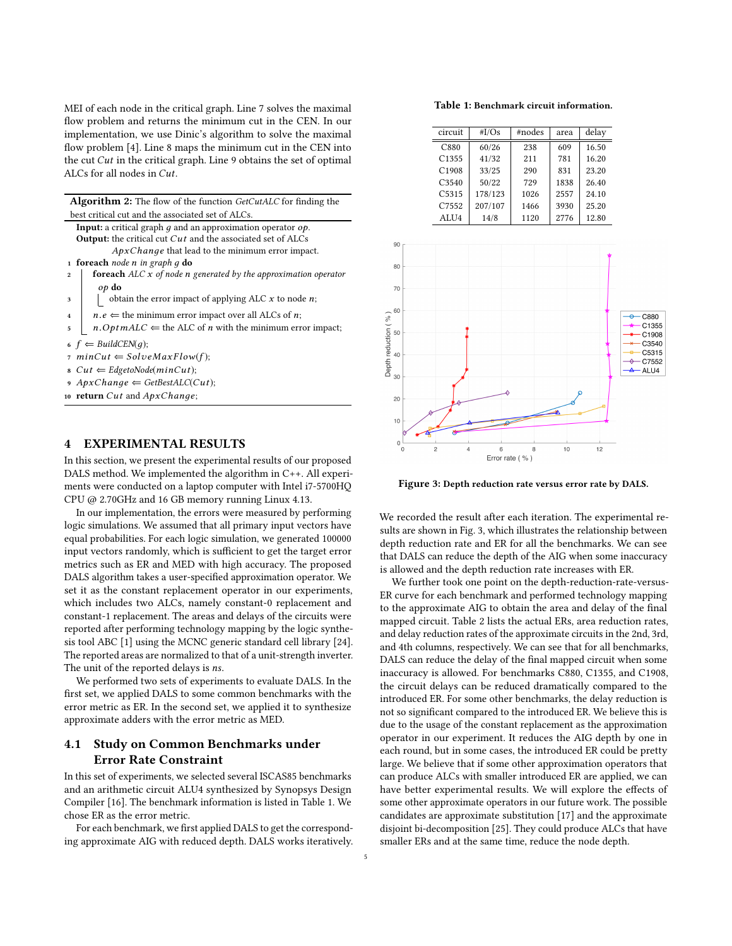MEI of each node in the critical graph. Line 7 solves the maximal flow problem and returns the minimum cut in the CEN. In our implementation, we use Dinic's algorithm to solve the maximal flow problem [4]. Line 8 maps the minimum cut in the CEN into the cut Cut in the critical graph. Line 9 obtains the set of optimal ALCs for all nodes in Cut.

| <b>Algorithm 2:</b> The flow of the function <i>GetCutALC</i> for finding the                            |
|----------------------------------------------------------------------------------------------------------|
| best critical cut and the associated set of ALCs.                                                        |
| <b>Input:</b> a critical graph $q$ and an approximation operator $o p$ .                                 |
| <b>Output:</b> the critical cut <i>Cut</i> and the associated set of ALCs                                |
| $ApxChange$ that lead to the minimum error impact.                                                       |
| foreach node n in graph q do<br>$\mathbf{1}$                                                             |
| <b>foreach</b> $ALC$ <i>x</i> of node <i>n</i> generated by the approximation operator<br>$\overline{2}$ |
| op do                                                                                                    |
| obtain the error impact of applying ALC $x$ to node $n$ ;<br>3                                           |
| $n.e \leftarrow$ the minimum error impact over all ALCs of <i>n</i> ;<br>$\overline{4}$                  |
| $n. OptmALC \Leftarrow$ the ALC of <i>n</i> with the minimum error impact;<br>5                          |
| $f \leftarrow BuildCEN(q);$                                                                              |
| $\tau$ minCut $\Leftarrow$ SolveMaxFlow(f);                                                              |
| $\mathbf{s}$ $Cut \leftarrow EdgetoNode(minCut);$                                                        |
| $\Box$ ApxChange $\Leftarrow$ GetBestALC(Cut);                                                           |
| 10 return Cut and ApxChange;                                                                             |
|                                                                                                          |

# 4 EXPERIMENTAL RESULTS

In this section, we present the experimental results of our proposed DALS method. We implemented the algorithm in C++. All experiments were conducted on a laptop computer with Intel i7-5700HQ CPU @ 2.70GHz and 16 GB memory running Linux 4.13.

In our implementation, the errors were measured by performing logic simulations. We assumed that all primary input vectors have equal probabilities. For each logic simulation, we generated 100000 input vectors randomly, which is sufficient to get the target error metrics such as ER and MED with high accuracy. The proposed DALS algorithm takes a user-specified approximation operator. We set it as the constant replacement operator in our experiments, which includes two ALCs, namely constant-0 replacement and constant-1 replacement. The areas and delays of the circuits were reported after performing technology mapping by the logic synthesis tool ABC [1] using the MCNC generic standard cell library [24]. The reported areas are normalized to that of a unit-strength inverter. The unit of the reported delays is ns.

We performed two sets of experiments to evaluate DALS. In the first set, we applied DALS to some common benchmarks with the error metric as ER. In the second set, we applied it to synthesize approximate adders with the error metric as MED.

# 4.1 Study on Common Benchmarks under Error Rate Constraint

In this set of experiments, we selected several ISCAS85 benchmarks and an arithmetic circuit ALU4 synthesized by Synopsys Design Compiler [16]. The benchmark information is listed in Table 1. We chose ER as the error metric.

For each benchmark, we first applied DALS to get the corresponding approximate AIG with reduced depth. DALS works iteratively.

Table 1: Benchmark circuit information.

| circuit           | $\frac{H}{OS}$ | #nodes | area | delay |
|-------------------|----------------|--------|------|-------|
| C880              | 60/26          | 238    | 609  | 16.50 |
| C <sub>1355</sub> | 41/32          | 211    | 781  | 16.20 |
| C <sub>1908</sub> | 33/25          | 290    | 831  | 23.20 |
| C3540             | 50/22          | 729    | 1838 | 26.40 |
| C <sub>5315</sub> | 178/123        | 1026   | 2557 | 24.10 |
| C7552             | 207/107        | 1466   | 3930 | 25.20 |
| ALU <sub>4</sub>  | 14/8           | 1120   | 2776 | 12.80 |



Figure 3: Depth reduction rate versus error rate by DALS.

We recorded the result after each iteration. The experimental results are shown in Fig. 3, which illustrates the relationship between depth reduction rate and ER for all the benchmarks. We can see that DALS can reduce the depth of the AIG when some inaccuracy is allowed and the depth reduction rate increases with ER.

We further took one point on the depth-reduction-rate-versus-ER curve for each benchmark and performed technology mapping to the approximate AIG to obtain the area and delay of the final mapped circuit. Table 2 lists the actual ERs, area reduction rates, and delay reduction rates of the approximate circuits in the 2nd, 3rd, and 4th columns, respectively. We can see that for all benchmarks, DALS can reduce the delay of the final mapped circuit when some inaccuracy is allowed. For benchmarks C880, C1355, and C1908, the circuit delays can be reduced dramatically compared to the introduced ER. For some other benchmarks, the delay reduction is not so significant compared to the introduced ER. We believe this is due to the usage of the constant replacement as the approximation operator in our experiment. It reduces the AIG depth by one in each round, but in some cases, the introduced ER could be pretty large. We believe that if some other approximation operators that can produce ALCs with smaller introduced ER are applied, we can have better experimental results. We will explore the effects of some other approximate operators in our future work. The possible candidates are approximate substitution [17] and the approximate disjoint bi-decomposition [25]. They could produce ALCs that have smaller ERs and at the same time, reduce the node depth.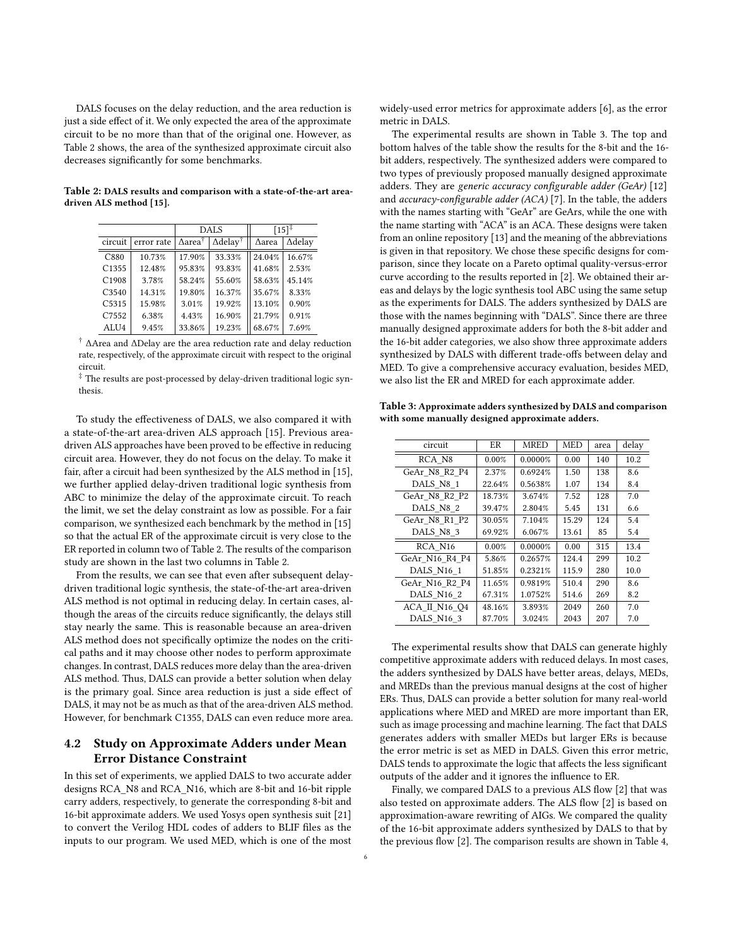DALS focuses on the delay reduction, and the area reduction is just a side effect of it. We only expected the area of the approximate circuit to be no more than that of the original one. However, as Table 2 shows, the area of the synthesized approximate circuit also decreases significantly for some benchmarks.

Table 2: DALS results and comparison with a state-of-the-art areadriven ALS method [15].

|                   |            |                            | <b>DALS</b>                 | $[15]$ <sup><math>\ddagger</math></sup> |                |  |
|-------------------|------------|----------------------------|-----------------------------|-----------------------------------------|----------------|--|
| circuit           | error rate | $\Delta$ area <sup>†</sup> | $\Delta$ delay <sup>†</sup> | $\Delta$ area                           | $\Delta$ delav |  |
| C880              | 10.73%     | 17.90%                     | 33.33%                      | 24.04%                                  | 16.67%         |  |
| C <sub>1355</sub> | 12.48%     | 95.83%                     | 93.83%                      | 41.68%                                  | 2.53%          |  |
| C <sub>1908</sub> | 3.78%      | 58.24%                     | 55.60%                      | 58.63%                                  | 45.14%         |  |
| C <sub>3540</sub> | 14.31%     | 19.80%                     | 16.37%                      | 35.67%                                  | 8.33%          |  |
| C <sub>5315</sub> | 15.98%     | 3.01%                      | 19.92%                      | 13.10%                                  | 0.90%          |  |
| C7552             | 6.38%      | 4.43%                      | 16.90%                      | 21.79%                                  | 0.91%          |  |
| ALU4              | 9.45%      | 33.86%                     | 19.23%                      | 68.67%                                  | 7.69%          |  |

† ∆Area and ∆Delay are the area reduction rate and delay reduction rate, respectively, of the approximate circuit with respect to the original circuit.

‡ The results are post-processed by delay-driven traditional logic synthesis.

To study the effectiveness of DALS, we also compared it with a state-of-the-art area-driven ALS approach [15]. Previous areadriven ALS approaches have been proved to be effective in reducing circuit area. However, they do not focus on the delay. To make it fair, after a circuit had been synthesized by the ALS method in [15], we further applied delay-driven traditional logic synthesis from ABC to minimize the delay of the approximate circuit. To reach the limit, we set the delay constraint as low as possible. For a fair comparison, we synthesized each benchmark by the method in [15] so that the actual ER of the approximate circuit is very close to the ER reported in column two of Table 2. The results of the comparison study are shown in the last two columns in Table 2.

From the results, we can see that even after subsequent delaydriven traditional logic synthesis, the state-of-the-art area-driven ALS method is not optimal in reducing delay. In certain cases, although the areas of the circuits reduce significantly, the delays still stay nearly the same. This is reasonable because an area-driven ALS method does not specifically optimize the nodes on the critical paths and it may choose other nodes to perform approximate changes. In contrast, DALS reduces more delay than the area-driven ALS method. Thus, DALS can provide a better solution when delay is the primary goal. Since area reduction is just a side effect of DALS, it may not be as much as that of the area-driven ALS method. However, for benchmark C1355, DALS can even reduce more area.

## 4.2 Study on Approximate Adders under Mean Error Distance Constraint

In this set of experiments, we applied DALS to two accurate adder designs RCA\_N8 and RCA\_N16, which are 8-bit and 16-bit ripple carry adders, respectively, to generate the corresponding 8-bit and 16-bit approximate adders. We used Yosys open synthesis suit [21] to convert the Verilog HDL codes of adders to BLIF files as the inputs to our program. We used MED, which is one of the most widely-used error metrics for approximate adders [6], as the error metric in DALS.

The experimental results are shown in Table 3. The top and bottom halves of the table show the results for the 8-bit and the 16 bit adders, respectively. The synthesized adders were compared to two types of previously proposed manually designed approximate adders. They are generic accuracy configurable adder (GeAr) [12] and accuracy-configurable adder (ACA) [7]. In the table, the adders with the names starting with "GeAr" are GeArs, while the one with the name starting with "ACA" is an ACA. These designs were taken from an online repository [13] and the meaning of the abbreviations is given in that repository. We chose these specific designs for comparison, since they locate on a Pareto optimal quality-versus-error curve according to the results reported in [2]. We obtained their areas and delays by the logic synthesis tool ABC using the same setup as the experiments for DALS. The adders synthesized by DALS are those with the names beginning with "DALS". Since there are three manually designed approximate adders for both the 8-bit adder and the 16-bit adder categories, we also show three approximate adders synthesized by DALS with different trade-offs between delay and MED. To give a comprehensive accuracy evaluation, besides MED, we also list the ER and MRED for each approximate adder.

Table 3: Approximate adders synthesized by DALS and comparison with some manually designed approximate adders.

| circuit             | ER     | <b>MRED</b> | <b>MED</b> | area | delay |
|---------------------|--------|-------------|------------|------|-------|
| RCA N8              | 0.00%  | 0.0000%     | 0.00       | 140  | 10.2  |
| GeAr N8 R2 P4       | 2.37%  | 0.6924%     | 1.50       | 138  | 8.6   |
| DALS N8 1           | 22.64% | 0.5638%     | 1.07       | 134  | 8.4   |
| GeAr N8 R2 P2       | 18.73% | 3.674%      | 7.52       | 128  | 7.0   |
| DALS N8 2           | 39.47% | 2.804%      | 5.45       | 131  | 6.6   |
| GeAr N8 R1 P2       | 30.05% | 7.104%      | 15.29      | 124  | 5.4   |
| DALS N8 3           | 69.92% | 6.067%      | 13.61      | 85   | 5.4   |
| RCA N <sub>16</sub> | 0.00%  | 0.0000%     | 0.00       | 315  | 13.4  |
| GeAr N16 R4 P4      | 5.86%  | 0.2657%     | 124.4      | 299  | 10.2  |
| DALS N16 1          | 51.85% | 0.2321%     | 115.9      | 280  | 10.0  |
| GeAr N16 R2 P4      | 11.65% | 0.9819%     | 510.4      | 290  | 8.6   |
| DALS N16 2          | 67.31% | 1.0752%     | 514.6      | 269  | 8.2   |
| ACA II N16 O4       | 48.16% | 3.893%      | 2049       | 260  | 7.0   |
| DALS N16 3          | 87.70% | 3.024%      | 2043       | 207  | 7.0   |

The experimental results show that DALS can generate highly competitive approximate adders with reduced delays. In most cases, the adders synthesized by DALS have better areas, delays, MEDs, and MREDs than the previous manual designs at the cost of higher ERs. Thus, DALS can provide a better solution for many real-world applications where MED and MRED are more important than ER, such as image processing and machine learning. The fact that DALS generates adders with smaller MEDs but larger ERs is because the error metric is set as MED in DALS. Given this error metric, DALS tends to approximate the logic that affects the less significant outputs of the adder and it ignores the influence to ER.

Finally, we compared DALS to a previous ALS flow [2] that was also tested on approximate adders. The ALS flow [2] is based on approximation-aware rewriting of AIGs. We compared the quality of the 16-bit approximate adders synthesized by DALS to that by the previous flow [2]. The comparison results are shown in Table 4,